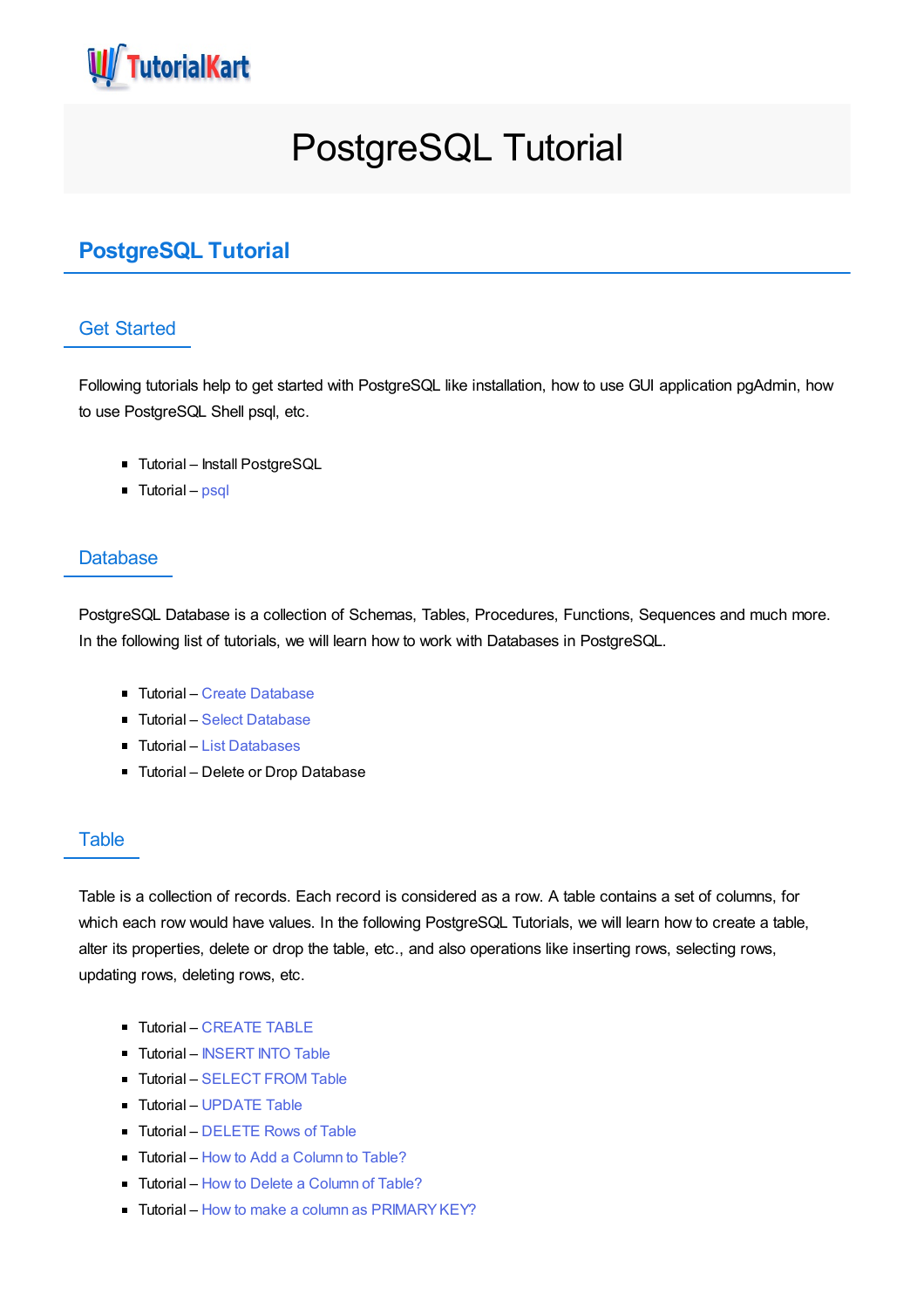

# PostgreSQL Tutorial

## **PostgreSQL Tutorial**

#### Get Started

Following tutorials help to get started with PostgreSQL like installation, how to use GUI application pgAdmin, how to use PostgreSQL Shell psql, etc.

- Tutorial Install PostgreSQL
- Tutorial [psql](https://www.tutorialkart.com/postgresql/postgresql-sql-shell-psql/)

#### **Database**

PostgreSQL Database is a collection of Schemas, Tables, Procedures, Functions, Sequences and much more. In the following list of tutorials, we will learn how to work with Databases in PostgreSQL.

- Tutorial Create [Database](https://www.tutorialkart.com/postgresql/postgresql-create-database/)
- Tutorial Select [Database](https://www.tutorialkart.com/postgresql/postgresql-select-database/)
- Tutorial List [Databases](https://www.tutorialkart.com/postgresql/postgresql-list-databases/)
- **Tutorial Delete or Drop Database**

#### **Table**

Table is a collection of records. Each record is considered as a row. A table contains a set of columns, for which each row would have values. In the following PostgreSQL Tutorials, we will learn how to create a table, alter its properties, delete or drop the table, etc., and also operations like inserting rows, selecting rows, updating rows, deleting rows, etc.

- **Tutorial [CREATE](https://www.tutorialkart.com/postgresql/postgresql-create-table/) TABLE**
- **Tutorial [INSERT](https://www.tutorialkart.com/postgresql/postgresql-insert/) INTO Table**
- **Tutorial [SELECT](https://www.tutorialkart.com/postgresql/postgresql-select/) FROM Table**
- **Tutorial [UPDATE](https://www.tutorialkart.com/postgresql/postgresql-update/) Table**
- **Tutorial [DELETE](https://www.tutorialkart.com/postgresql/postgresql-delete/) Rows of Table**
- Tutorial How to Add a [Column](https://www.tutorialkart.com/postgresql/postgresql-add-column/) to Table?
- Tutorial How to Delete a [Column](https://www.tutorialkart.com/postgresql/postgresql-delete-column/) of Table?
- Tutorial How to make a column as PRIMARY KEY?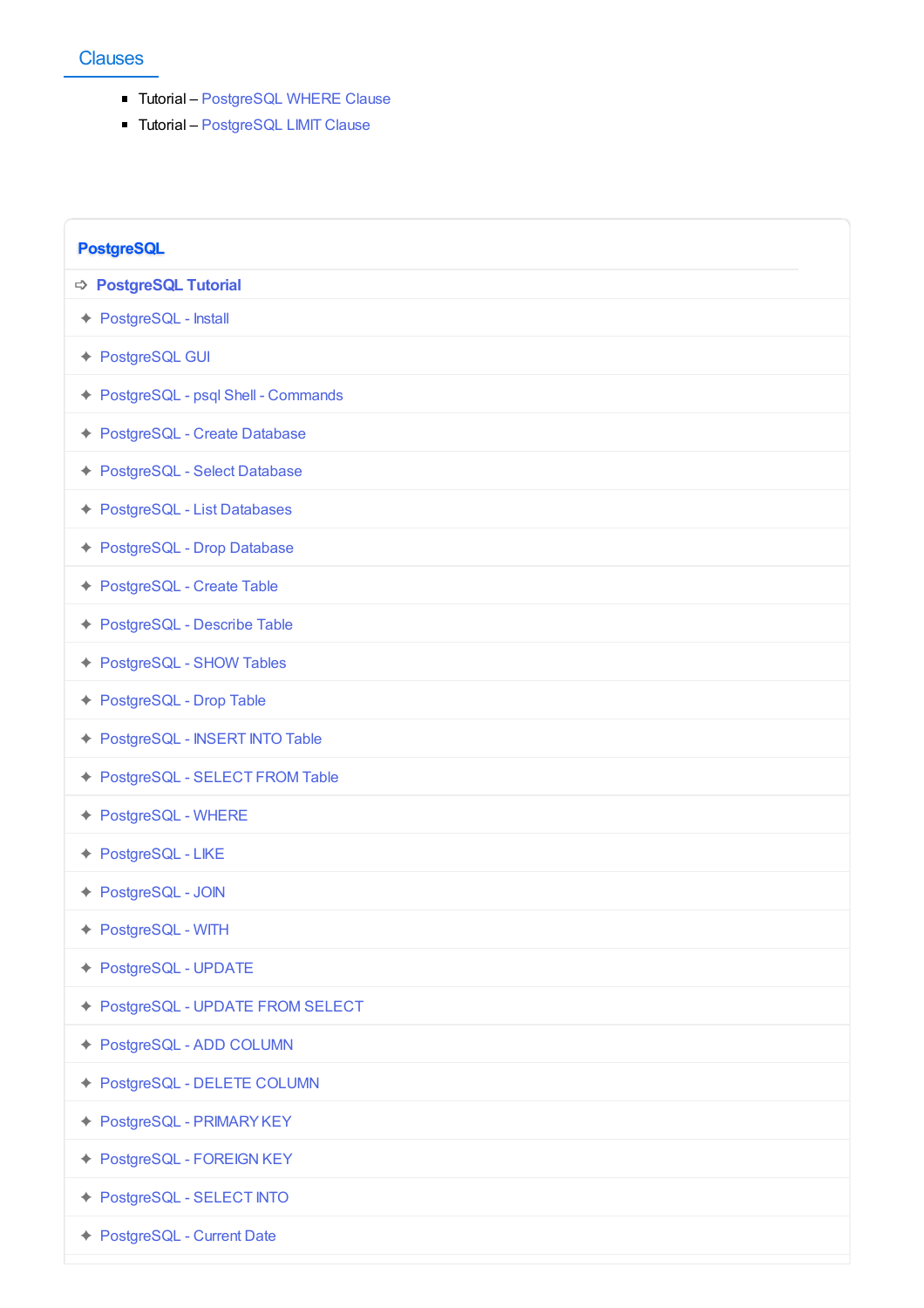### **Clauses**

- Tutorial [PostgreSQL](https://www.tutorialkart.com/postgresql/postgresql-where/) WHERE Clause
- Tutorial [PostgreSQL](https://www.tutorialkart.com/postgresql/postgresql-limit/) LIMIT Clause

| <b>PostgreSQL</b>                    |
|--------------------------------------|
| <b>⇒ PostgreSQL Tutorial</b>         |
| ← PostgreSQL - Install               |
| ← PostgreSQL GUI                     |
| ← PostgreSQL - psql Shell - Commands |
| ← PostgreSQL - Create Database       |
| ← PostgreSQL - Select Database       |
| ← PostgreSQL - List Databases        |
| ← PostgreSQL - Drop Database         |
| ← PostgreSQL - Create Table          |
| ← PostgreSQL - Describe Table        |
| ← PostgreSQL - SHOW Tables           |
| ← PostgreSQL - Drop Table            |
| ← PostgreSQL - INSERT INTO Table     |
| ← PostgreSQL - SELECT FROM Table     |
| ← PostgreSQL - WHERE                 |
| ← PostgreSQL - LIKE                  |
| ← PostgreSQL - JOIN                  |
| ← PostgreSQL - WITH                  |
| ← PostgreSQL - UPDATE                |
| ◆ PostgreSQL - UPDATE FROM SELECT    |
| ← PostgreSQL - ADD COLUMN            |
| ← PostgreSQL - DELETE COLUMN         |
| ← PostgreSQL - PRIMARYKEY            |
| ← PostgreSQL - FOREIGN KEY           |
| ← PostgreSQL - SELECT INTO           |
| ← PostgreSQL - Current Date          |